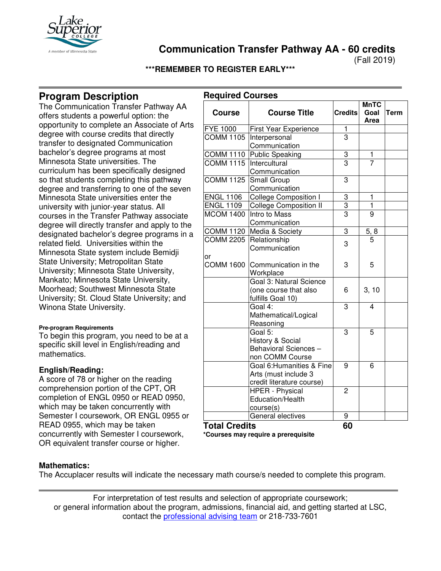

**Communication Transfer Pathway AA - 60 credits**

(Fall 2019)

# **\*\*\*REMEMBER TO REGISTER EARLY\*\*\***

**Required Courses**

# **Program Description**

The Communication Transfer Pathway AA offers students a powerful option: the opportunity to complete an Associate of Arts degree with course credits that directly transfer to designated Communication bachelor's degree programs at most Minnesota State universities. The curriculum has been specifically designed so that students completing this pathway degree and transferring to one of the seven Minnesota State universities enter the university with junior-year status. All courses in the Transfer Pathway associate degree will directly transfer and apply to the designated bachelor's degree programs in a related field. Universities within the Minnesota State system include Bemidji State University; Metropolitan State University; Minnesota State University, Mankato; Minnesota State University, Moorhead; Southwest Minnesota State University; St. Cloud State University; and Winona State University.

#### **Pre-program Requirements**

To begin this program, you need to be at a specific skill level in English/reading and mathematics.

## **English/Reading:**

A score of 78 or higher on the reading comprehension portion of the CPT, OR completion of ENGL 0950 or READ 0950, which may be taken concurrently with Semester I coursework, OR ENGL 0955 or READ 0955, which may be taken concurrently with Semester I coursework, OR equivalent transfer course or higher.

| $\sim$ qu $\sim$     |                               |                | <b>MnTC</b>    |      |
|----------------------|-------------------------------|----------------|----------------|------|
| <b>Course</b>        | <b>Course Title</b>           | <b>Credits</b> | Goal<br>Area   | Term |
| FYE 1000             | First Year Experience         | $\mathbf 1$    |                |      |
| <b>COMM 1105</b>     | Interpersonal                 | $\overline{3}$ |                |      |
|                      | Communication                 |                |                |      |
| <b>COMM 1110</b>     | Public Speaking               | 3              | 1              |      |
| <b>COMM 1115</b>     | Intercultural                 | $\overline{3}$ | $\overline{7}$ |      |
|                      | Communication                 |                |                |      |
| <b>COMM 1125</b>     | Small Group                   | 3              |                |      |
|                      | Communication                 |                |                |      |
| <b>ENGL 1106</b>     | <b>College Composition I</b>  | 3              | 1              |      |
| <b>ENGL 1109</b>     | <b>College Composition II</b> | $\frac{3}{3}$  | 1              |      |
| <b>MCOM 1400</b>     | Intro to Mass                 |                | 9              |      |
|                      | Communication                 |                |                |      |
| <b>COMM 1120</b>     | Media & Society               | 3              | 5, 8           |      |
| <b>COMM 2205</b>     | Relationship                  | 3              | 5              |      |
|                      | Communication                 |                |                |      |
| or                   |                               |                |                |      |
| <b>COMM 1600</b>     | Communication in the          | 3              | 5              |      |
|                      | Workplace                     |                |                |      |
|                      | Goal 3: Natural Science       |                |                |      |
|                      | (one course that also         | 6              | 3, 10          |      |
|                      | fulfills Goal 10)             |                |                |      |
|                      | Goal 4:                       | 3              | 4              |      |
|                      | Mathematical/Logical          |                |                |      |
|                      | Reasoning                     |                |                |      |
|                      | Goal 5:                       | 3              | 5              |      |
|                      | History & Social              |                |                |      |
|                      | Behavioral Sciences -         |                |                |      |
|                      | non COMM Course               |                |                |      |
|                      | Goal 6: Humanities & Fine     | 9              | 6              |      |
|                      | Arts (must include 3          |                |                |      |
|                      | credit literature course)     |                |                |      |
|                      | <b>HPER - Physical</b>        | $\overline{2}$ |                |      |
|                      | Education/Health              |                |                |      |
|                      | course(s)                     |                |                |      |
|                      | General electives             | 9              |                |      |
| <b>Total Credits</b> |                               | 60             |                |      |

**\*Courses may require a prerequisite**

## **Mathematics:**

The Accuplacer results will indicate the necessary math course/s needed to complete this program.

For interpretation of test results and selection of appropriate coursework; or general information about the program, admissions, financial aid, and getting started at LSC, contact the [professional advising team](mailto:pat@lsc.edu) or 218-733-7601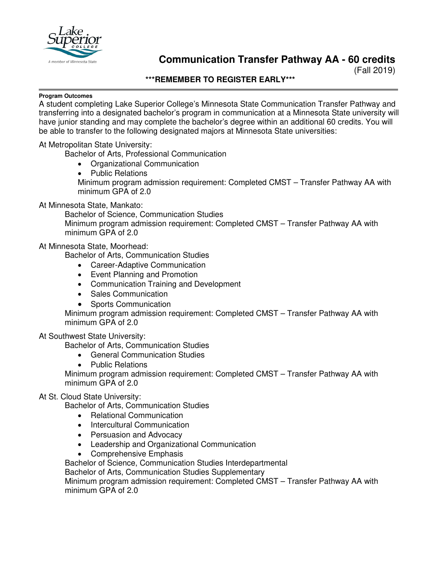

# **Communication Transfer Pathway AA - 60 credits**

(Fall 2019)

#### **\*\*\*REMEMBER TO REGISTER EARLY\*\*\***

#### **Program Outcomes**

A student completing Lake Superior College's Minnesota State Communication Transfer Pathway and transferring into a designated bachelor's program in communication at a Minnesota State university will have junior standing and may complete the bachelor's degree within an additional 60 credits. You will be able to transfer to the following designated majors at Minnesota State universities:

## At Metropolitan State University:

Bachelor of Arts, Professional Communication

- Organizational Communication
- Public Relations Minimum program admission requirement: Completed CMST – Transfer Pathway AA with minimum GPA of 2.0

#### At Minnesota State, Mankato:

Bachelor of Science, Communication Studies Minimum program admission requirement: Completed CMST – Transfer Pathway AA with minimum GPA of 2.0

## At Minnesota State, Moorhead:

Bachelor of Arts, Communication Studies

- Career-Adaptive Communication
- Event Planning and Promotion
- Communication Training and Development
- Sales Communication
- Sports Communication

Minimum program admission requirement: Completed CMST – Transfer Pathway AA with minimum GPA of 2.0

#### At Southwest State University:

Bachelor of Arts, Communication Studies

- General Communication Studies
- Public Relations

Minimum program admission requirement: Completed CMST – Transfer Pathway AA with minimum GPA of 2.0

## At St. Cloud State University:

Bachelor of Arts, Communication Studies

- Relational Communication
- Intercultural Communication
- Persuasion and Advocacy
- Leadership and Organizational Communication
- Comprehensive Emphasis

Bachelor of Science, Communication Studies Interdepartmental

Bachelor of Arts, Communication Studies Supplementary

Minimum program admission requirement: Completed CMST – Transfer Pathway AA with minimum GPA of 2.0